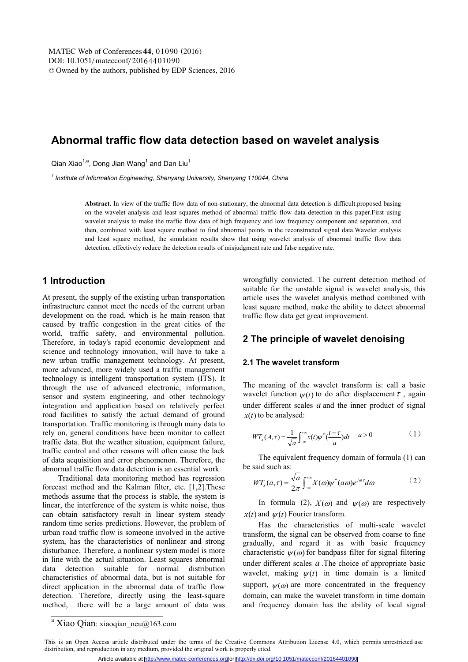# **Abnormal traffic flow data detection based on wavelet analysis**

Qian Xiao<sup>1,a</sup>, Dong Jian Wang<sup>1</sup> and Dan Liu<sup>1</sup>

<sup>1</sup> Institute of Information Engineering, Shenyang University, Shenyang 110044, China  *Institute of Information Engineering, Shenyang University, Shenyang 110044, China* 

> **Abstract.** In view of the traffic flow data of non-stationary, the abnormal data detection is difficult.proposed basing on the wavelet analysis and least squares method of abnormal traffic flow data detection in this paper.First using wavelet analysis to make the traffic flow data of high frequency and low frequency component and separation, and then, combined with least square method to find abnormal points in the reconstructed signal data.Wavelet analysis and least square method, the simulation results show that using wavelet analysis of abnormal traffic flow data detection, effectively reduce the detection results of misjudgment rate and false negative rate.

# **1 Introduction**

At present, the supply of the existing urban transportation infrastructure cannot meet the needs of the current urban development on the road, which is he main reason that caused by traffic congestion in the great cities of the world, traffic safety, and environmental pollution. Therefore, in today's rapid economic development and science and technology innovation, will have to take a new urban traffic management technology. At present, more advanced, more widely used a traffic management technology is intelligent transportation system (ITS). It through the use of advanced electronic, information, sensor and system engineering, and other technology integration and application based on relatively perfect road facilities to satisfy the actual demand of ground transportation. Traffic monitoring is through many data to rely on, general conditions have been monitor to collect traffic data. But the weather situation, equipment failure, traffic control and other reasons will often cause the lack of data acquisition and error phenomenon. Therefore, the abnormal traffic flow data detection is an essential work.

Traditional data monitoring method has regression forecast method and the Kalman filter, etc. [1,2].These methods assume that the process is stable, the system is linear, the interference of the system is white noise, thus can obtain satisfactory result in linear system steady random time series predictions. However, the problem of urban road traffic flow is someone involved in the active system, has the characteristics of nonlinear and strong disturbance. Therefore, a nonlinear system model is more in line with the actual situation. Least squares abnormal data detection suitable for normal distribution characteristics of abnormal data, but is not suitable for direct application in the abnormal data of traffic flow detection. Therefore, directly using the least-square method, there will be a large amount of data was

wrongfully convicted. The current detection method of suitable for the unstable signal is wavelet analysis, this article uses the wavelet analysis method combined with least square method, make the ability to detect abnormal traffic flow data get great improvement.

# **2 The principle of wavelet denoising**

#### **2.1 The wavelet transform**

The meaning of the wavelet transform is: call a basic wavelet function  $\psi(t)$  to do after displacement  $\tau$ , again under different scales  $a$  and the inner product of signal  $x(t)$  to be analysed:

$$
WT_x(A,\tau) = \frac{1}{\sqrt{a}} \int_{-\infty}^{+\infty} x(t) \psi^* \left(\frac{t-\tau}{a}\right) dt \quad a > 0 \tag{1}
$$

 The equivalent frequency domain of formula (1) can be said such as:

$$
WT_x(a,\tau) = \frac{\sqrt{a}}{2\pi} \int_{-\infty}^{+\infty} X(\omega) \psi^*(a\omega) e^{j\omega\tau} d\omega \tag{2}
$$

In formula (2),  $X(\omega)$  and  $\psi(\omega)$  are respectively  $x(t)$  and  $\psi(t)$  Fourier transform.

 Has the characteristics of multi-scale wavelet transform, the signal can be observed from coarse to fine gradually, and regard it as with basic frequency characteristic  $\psi(\omega)$  for bandpass filter for signal filtering under different scales *a* .The choice of appropriate basic wavelet, making  $\psi(t)$  in time domain is a limited support,  $\psi(\omega)$  are more concentrated in the frequency domain, can make the wavelet transform in time domain and frequency domain has the ability of local signal

<sup>&</sup>lt;sup>a</sup> Xiao Qian: xiaoqian\_neu@163.com

This is an Open Access article distributed under the terms of the Creative Commons Attribution License 4.0, which permits unrestricted use distribution, and reproduction in any medium, provided the original work is properly cited.

Article available at <http://www.matec-conferences.org> or <http://dx.doi.org/10.1051/matecconf/20164401090>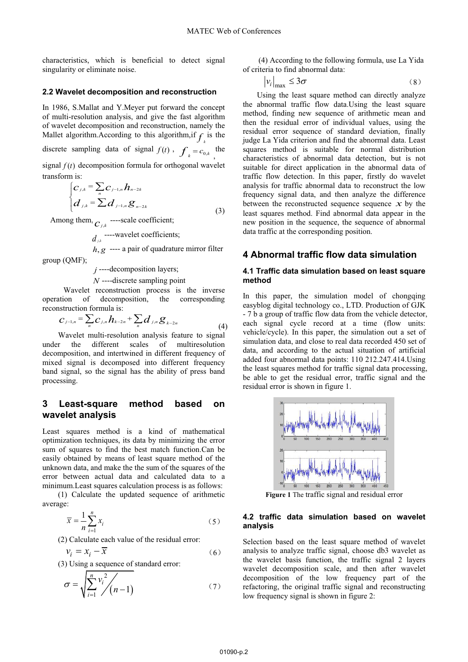characteristics, which is beneficial to detect signal singularity or eliminate noise.

#### **2.2 Wavelet decomposition and reconstruction**

In 1986, S.Mallat and Y.Meyer put forward the concept of multi-resolution analysis, and give the fast algorithm of wavelet decomposition and reconstruction, namely the Mallet algorithm.According to this algorithm,if  $f_k$  is the discrete sampling data of signal  $f(t)$ ,  $f_k = c_{0,k}$ , the signal  $f(t)$  decomposition formula for orthogonal wavelet

transform is:  
\n
$$
\begin{cases}\nC_{j,k} = \sum_{n} C_{j-1,n} h_{n-2k} \\
d_{j,k} = \sum d_{j-1,n} g_{n-2k}\n\end{cases}
$$
\n(3)

Among them,  $c_{j,k}$  ----scale coefficient;

 $d_{jk}$  ----wavelet coefficients;

*h*, *g* ---- a pair of quadrature mirror filter

group (QMF);

*j* ----decomposition layers;

*N* ----discrete sampling point<br>Wavelet reconstruction process is the inverse operation of decomposition, the corresponding reconstruction formula is:

$$
C_{j-1,n} = \sum_{n} C_{j,n} h_{k-2n} + \sum_{n} d_{j,n} g_{k-2n}
$$
 (4)

 Wavelet multi-resolution analysis feature to signal under the different scales of multiresolution decomposition, and intertwined in different frequency of mixed signal is decomposed into different frequency band signal, so the signal has the ability of press band processing.

### **3 Least-square method based on wavelet analysis**

Least squares method is a kind of mathematical optimization techniques, its data by minimizing the error sum of squares to find the best match function.Can be easily obtained by means of least square method of the unknown data, and make the the sum of the squares of the error between actual data and calculated data to a minimum.Least squares calculation process is as follows:

(1) Calculate the updated sequence of arithmetic average:

$$
\overline{x} = \frac{1}{n} \sum_{i=1}^{n} x_i
$$
 (5)

(2) Calculate each value of the residual error:

$$
v_i = x_i - \overline{x} \tag{6}
$$

(3) Using a sequence of standard error:

$$
\sigma = \sqrt{\sum_{i=1}^{n} v_i^2 / (n-1)}
$$
\n(7)

 (4) According to the following formula, use La Yida of criteria to find abnormal data:

$$
\left|v_i\right|_{\text{max}} \le 3\sigma \tag{8}
$$

Using the least square method can directly analyze the abnormal traffic flow data.Using the least square method, finding new sequence of arithmetic mean and then the residual error of individual values, using the residual error sequence of standard deviation, finally judge La Yida criterion and find the abnormal data. Least squares method is suitable for normal distribution characteristics of abnormal data detection, but is not suitable for direct application in the abnormal data of traffic flow detection. In this paper, firstly do wavelet analysis for traffic abnormal data to reconstruct the low frequency signal data, and then analyze the difference between the reconstructed sequence sequence  $x$  by the least squares method. Find abnormal data appear in the new position in the sequence, the sequence of abnormal data traffic at the corresponding position.

### **4 Abnormal traffic flow data simulation**

#### **4.1 Traffic data simulation based on least square method**

In this paper, the simulation model of chongqing easyblog digital technology co., LTD. Production of GJK - 7 b a group of traffic flow data from the vehicle detector, each signal cycle record at a time (flow units: vehicle/cycle). In this paper, the simulation out a set of simulation data, and close to real data recorded 450 set of data, and according to the actual situation of artificial added four abnormal data points: 110 212.247.414.Using the least squares method for traffic signal data processing, be able to get the residual error, traffic signal and the residual error is shown in figure 1.



**Figure 1** The traffic signal and residual error

#### **4.2 traffic data simulation based on wavelet analysis**

Selection based on the least square method of wavelet analysis to analyze traffic signal, choose db3 wavelet as the wavelet basis function, the traffic signal 2 layers wavelet decomposition scale, and then after wavelet decomposition of the low frequency part of the refactoring, the original traffic signal and reconstructing low frequency signal is shown in figure 2: